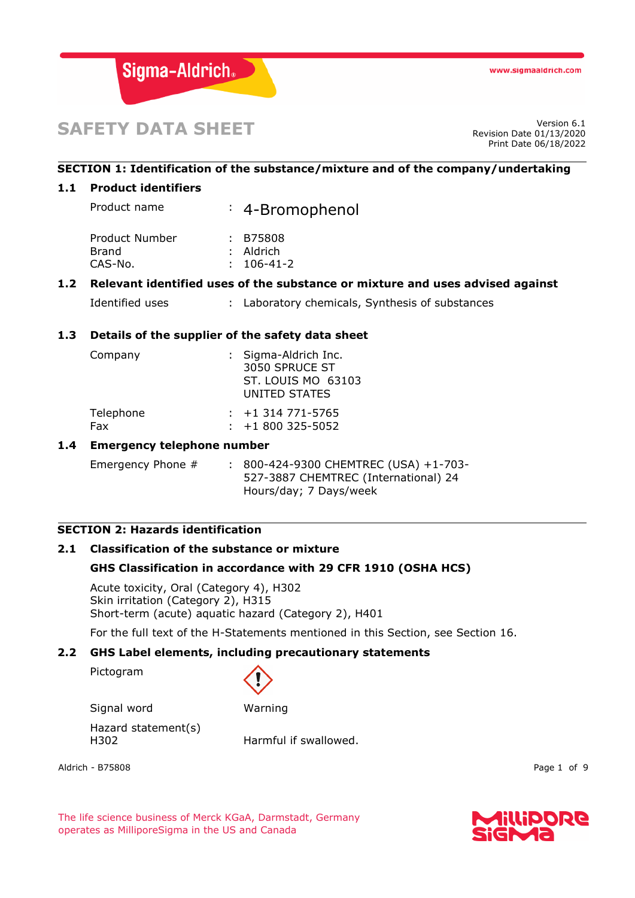

# **SAFETY DATA SHEET**

Revision Date 01/13/2020 Print Date 06/18/2022

## **SECTION 1: Identification of the substance/mixture and of the company/undertaking**

#### **1.1 Product identifiers**

Product name : 4-Bromophenol

| : B75808         |
|------------------|
| : Aldrich        |
| $: 106 - 41 - 2$ |
|                  |

#### **1.2 Relevant identified uses of the substance or mixture and uses advised against**

Identified uses : Laboratory chemicals, Synthesis of substances

#### **1.3 Details of the supplier of the safety data sheet**

| Company   | : Sigma-Aldrich Inc.<br>3050 SPRUCE ST<br>ST. LOUIS MO 63103<br>UNITED STATES |
|-----------|-------------------------------------------------------------------------------|
| Telephone | $: +1314771 - 5765$                                                           |
| Fax       | $\div$ +1 800 325-5052                                                        |

#### **1.4 Emergency telephone number**

Emergency Phone # : 800-424-9300 CHEMTREC (USA) +1-703-527-3887 CHEMTREC (International) 24 Hours/day; 7 Days/week

#### **SECTION 2: Hazards identification**

## **2.1 Classification of the substance or mixture**

#### **GHS Classification in accordance with 29 CFR 1910 (OSHA HCS)**

Acute toxicity, Oral (Category 4), H302 Skin irritation (Category 2), H315 Short-term (acute) aquatic hazard (Category 2), H401

For the full text of the H-Statements mentioned in this Section, see Section 16.

#### **2.2 GHS Label elements, including precautionary statements**

Pictogram



Signal word Warning

Hazard statement(s) H302 Harmful if swallowed.

Aldrich - B75808 Page 1 of 9

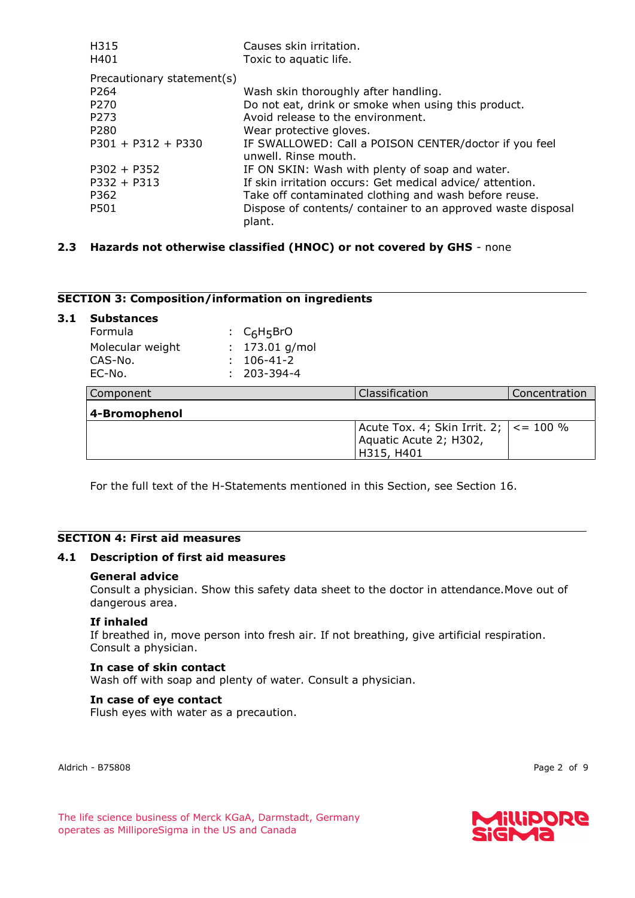| H315<br>H401               | Causes skin irritation.<br>Toxic to aquatic life.                             |
|----------------------------|-------------------------------------------------------------------------------|
| Precautionary statement(s) |                                                                               |
| P264                       | Wash skin thoroughly after handling.                                          |
| P270                       | Do not eat, drink or smoke when using this product.                           |
| P273                       | Avoid release to the environment.                                             |
| P <sub>280</sub>           | Wear protective gloves.                                                       |
| $P301 + P312 + P330$       | IF SWALLOWED: Call a POISON CENTER/doctor if you feel<br>unwell. Rinse mouth. |
| $P302 + P352$              | IF ON SKIN: Wash with plenty of soap and water.                               |
| $P332 + P313$              | If skin irritation occurs: Get medical advice/ attention.                     |
| P362                       | Take off contaminated clothing and wash before reuse.                         |
| P501                       | Dispose of contents/ container to an approved waste disposal<br>plant.        |

#### **2.3 Hazards not otherwise classified (HNOC) or not covered by GHS** - none

#### **SECTION 3: Composition/information on ingredients**

| 3.1 | <b>Substances</b><br>Formula          | $C_6H_5BrO$                                 |                                                                      |               |
|-----|---------------------------------------|---------------------------------------------|----------------------------------------------------------------------|---------------|
|     | Molecular weight<br>CAS-No.<br>EC-No. | 173.01 g/mol<br>$106 - 41 - 2$<br>203-394-4 |                                                                      |               |
|     | Component                             |                                             | Classification                                                       | Concentration |
|     | 4-Bromophenol                         |                                             |                                                                      |               |
|     |                                       |                                             | Acute Tox. 4; Skin Irrit. 2;<br>Aquatic Acute 2; H302,<br>H315, H401 | $\le$ = 100 % |

For the full text of the H-Statements mentioned in this Section, see Section 16.

## **SECTION 4: First aid measures**

#### **4.1 Description of first aid measures**

#### **General advice**

Consult a physician. Show this safety data sheet to the doctor in attendance.Move out of dangerous area.

#### **If inhaled**

If breathed in, move person into fresh air. If not breathing, give artificial respiration. Consult a physician.

#### **In case of skin contact**

Wash off with soap and plenty of water. Consult a physician.

#### **In case of eye contact**

Flush eyes with water as a precaution.

Aldrich - B75808 Page 2 of 9

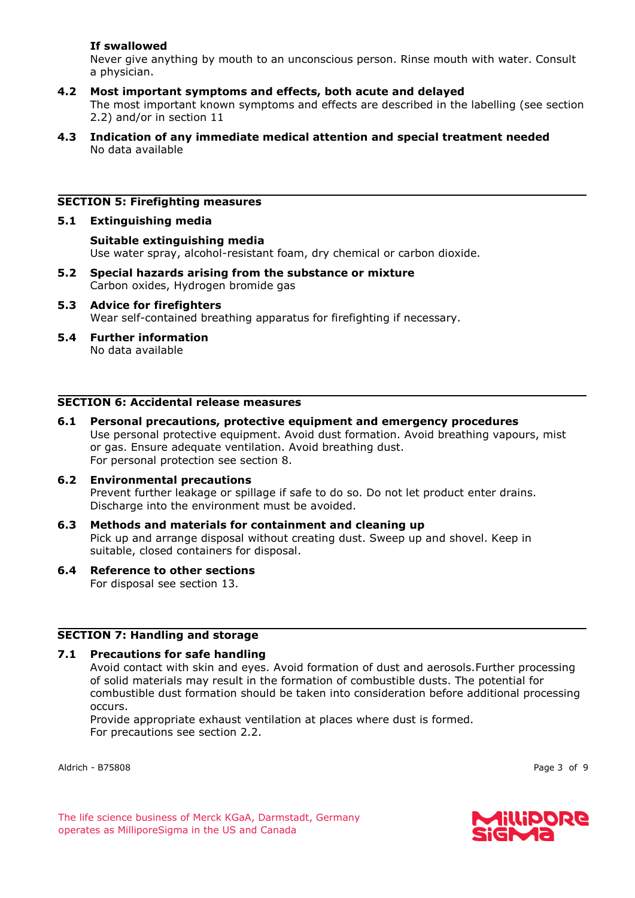## **If swallowed**

Never give anything by mouth to an unconscious person. Rinse mouth with water. Consult a physician.

- **4.2 Most important symptoms and effects, both acute and delayed** The most important known symptoms and effects are described in the labelling (see section 2.2) and/or in section 11
- **4.3 Indication of any immediate medical attention and special treatment needed** No data available

## **SECTION 5: Firefighting measures**

#### **5.1 Extinguishing media**

**Suitable extinguishing media** Use water spray, alcohol-resistant foam, dry chemical or carbon dioxide.

- **5.2 Special hazards arising from the substance or mixture** Carbon oxides, Hydrogen bromide gas
- **5.3 Advice for firefighters** Wear self-contained breathing apparatus for firefighting if necessary.
- **5.4 Further information** No data available

#### **SECTION 6: Accidental release measures**

- **6.1 Personal precautions, protective equipment and emergency procedures** Use personal protective equipment. Avoid dust formation. Avoid breathing vapours, mist or gas. Ensure adequate ventilation. Avoid breathing dust. For personal protection see section 8.
- **6.2 Environmental precautions** Prevent further leakage or spillage if safe to do so. Do not let product enter drains. Discharge into the environment must be avoided.
- **6.3 Methods and materials for containment and cleaning up** Pick up and arrange disposal without creating dust. Sweep up and shovel. Keep in suitable, closed containers for disposal.
- **6.4 Reference to other sections** For disposal see section 13.

#### **SECTION 7: Handling and storage**

#### **7.1 Precautions for safe handling**

Avoid contact with skin and eyes. Avoid formation of dust and aerosols.Further processing of solid materials may result in the formation of combustible dusts. The potential for combustible dust formation should be taken into consideration before additional processing occurs.

Provide appropriate exhaust ventilation at places where dust is formed. For precautions see section 2.2.

Aldrich - B75808 Page 3 of 9

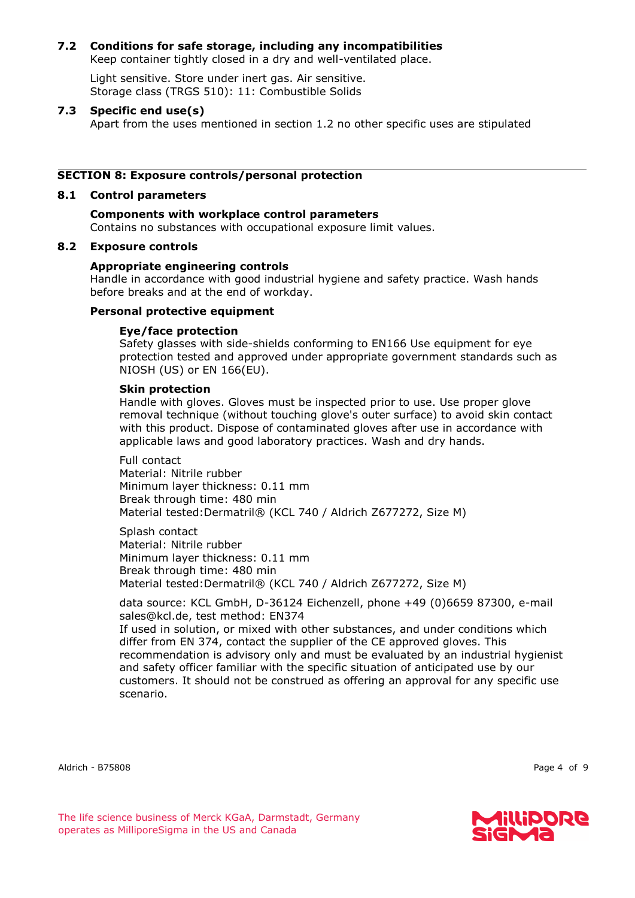## **7.2 Conditions for safe storage, including any incompatibilities**

Keep container tightly closed in a dry and well-ventilated place.

Light sensitive. Store under inert gas. Air sensitive. Storage class (TRGS 510): 11: Combustible Solids

### **7.3 Specific end use(s)**

Apart from the uses mentioned in section 1.2 no other specific uses are stipulated

#### **SECTION 8: Exposure controls/personal protection**

#### **8.1 Control parameters**

#### **Components with workplace control parameters** Contains no substances with occupational exposure limit values.

#### **8.2 Exposure controls**

#### **Appropriate engineering controls**

Handle in accordance with good industrial hygiene and safety practice. Wash hands before breaks and at the end of workday.

#### **Personal protective equipment**

#### **Eye/face protection**

Safety glasses with side-shields conforming to EN166 Use equipment for eye protection tested and approved under appropriate government standards such as NIOSH (US) or EN 166(EU).

#### **Skin protection**

Handle with gloves. Gloves must be inspected prior to use. Use proper glove removal technique (without touching glove's outer surface) to avoid skin contact with this product. Dispose of contaminated gloves after use in accordance with applicable laws and good laboratory practices. Wash and dry hands.

Full contact Material: Nitrile rubber Minimum layer thickness: 0.11 mm Break through time: 480 min Material tested:Dermatril® (KCL 740 / Aldrich Z677272, Size M)

Splash contact Material: Nitrile rubber Minimum layer thickness: 0.11 mm Break through time: 480 min Material tested:Dermatril® (KCL 740 / Aldrich Z677272, Size M)

data source: KCL GmbH, D-36124 Eichenzell, phone +49 (0)6659 87300, e-mail sales@kcl.de, test method: EN374

If used in solution, or mixed with other substances, and under conditions which differ from EN 374, contact the supplier of the CE approved gloves. This recommendation is advisory only and must be evaluated by an industrial hygienist and safety officer familiar with the specific situation of anticipated use by our customers. It should not be construed as offering an approval for any specific use scenario.

Aldrich - B75808 Page 4 of 9



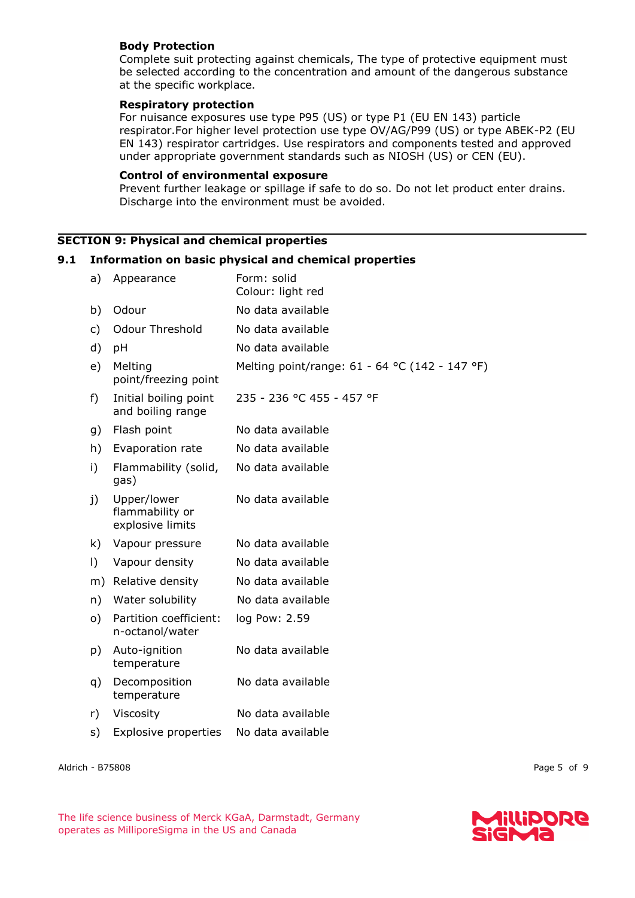## **Body Protection**

Complete suit protecting against chemicals, The type of protective equipment must be selected according to the concentration and amount of the dangerous substance at the specific workplace.

#### **Respiratory protection**

For nuisance exposures use type P95 (US) or type P1 (EU EN 143) particle respirator.For higher level protection use type OV/AG/P99 (US) or type ABEK-P2 (EU EN 143) respirator cartridges. Use respirators and components tested and approved under appropriate government standards such as NIOSH (US) or CEN (EU).

#### **Control of environmental exposure**

Prevent further leakage or spillage if safe to do so. Do not let product enter drains. Discharge into the environment must be avoided.

## **SECTION 9: Physical and chemical properties**

#### **9.1 Information on basic physical and chemical properties**

| a)           | Appearance                                         | Form: solid<br>Colour: light red               |
|--------------|----------------------------------------------------|------------------------------------------------|
| b)           | Odour                                              | No data available                              |
| c)           | <b>Odour Threshold</b>                             | No data available                              |
| d)           | pH                                                 | No data available                              |
| e)           | Melting<br>point/freezing point                    | Melting point/range: 61 - 64 °C (142 - 147 °F) |
| f)           | Initial boiling point<br>and boiling range         | 235 - 236 °C 455 - 457 °F                      |
| g)           | Flash point                                        | No data available                              |
| h)           | Evaporation rate                                   | No data available                              |
| i)           | Flammability (solid,<br>gas)                       | No data available                              |
| $\mathbf{j}$ | Upper/lower<br>flammability or<br>explosive limits | No data available                              |
| k)           | Vapour pressure                                    | No data available                              |
| $\vert$ )    | Vapour density                                     | No data available                              |
| m)           | Relative density                                   | No data available                              |
| n)           | Water solubility                                   | No data available                              |
| o)           | Partition coefficient:<br>n-octanol/water          | log Pow: 2.59                                  |
| p)           | Auto-ignition<br>temperature                       | No data available                              |
| q)           | Decomposition<br>temperature                       | No data available                              |
| r)           | Viscosity                                          | No data available                              |
| s)           | <b>Explosive properties</b>                        | No data available                              |
|              |                                                    |                                                |

Aldrich - B75808 Page 5 of 9

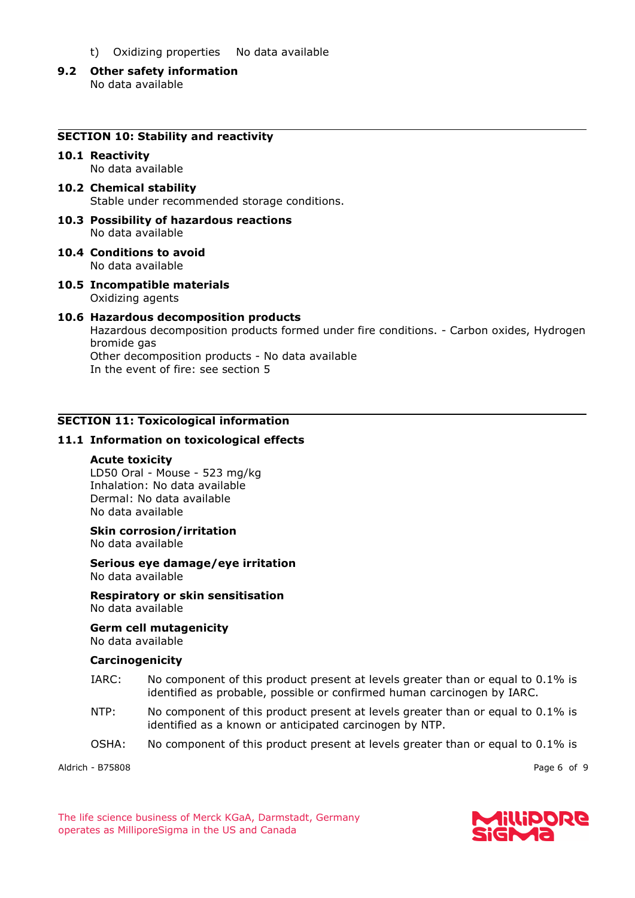- t) Oxidizing properties No data available
- **9.2 Other safety information** No data available

#### **10.1 Reactivity**

No data available

- **10.2 Chemical stability** Stable under recommended storage conditions.
- **10.3 Possibility of hazardous reactions** No data available
- **10.4 Conditions to avoid** No data available
- **10.5 Incompatible materials** Oxidizing agents

#### **10.6 Hazardous decomposition products**

Hazardous decomposition products formed under fire conditions. - Carbon oxides, Hydrogen bromide gas Other decomposition products - No data available In the event of fire: see section 5

#### **SECTION 11: Toxicological information**

#### **11.1 Information on toxicological effects**

#### **Acute toxicity**

LD50 Oral - Mouse - 523 mg/kg Inhalation: No data available Dermal: No data available No data available

#### **Skin corrosion/irritation**

No data available

#### **Serious eye damage/eye irritation** No data available

## **Respiratory or skin sensitisation**

No data available

#### **Germ cell mutagenicity** No data available

#### **Carcinogenicity**

- IARC: No component of this product present at levels greater than or equal to 0.1% is identified as probable, possible or confirmed human carcinogen by IARC.
- NTP: No component of this product present at levels greater than or equal to 0.1% is identified as a known or anticipated carcinogen by NTP.
- OSHA: No component of this product present at levels greater than or equal to 0.1% is

Aldrich - B75808 Page 6 of 9

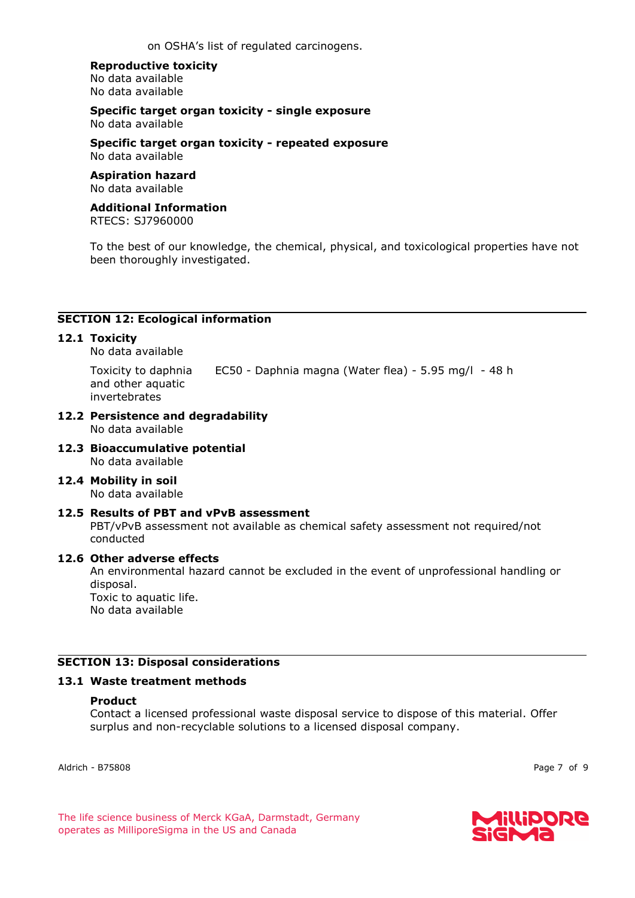on OSHA's list of regulated carcinogens.

#### **Reproductive toxicity**

No data available No data available

**Specific target organ toxicity - single exposure** No data available

**Specific target organ toxicity - repeated exposure** No data available

## **Aspiration hazard**

No data available

## **Additional Information**

RTECS: SJ7960000

To the best of our knowledge, the chemical, physical, and toxicological properties have not been thoroughly investigated.

## **SECTION 12: Ecological information**

## **12.1 Toxicity**

No data available

Toxicity to daphnia and other aquatic invertebrates EC50 - Daphnia magna (Water flea) - 5.95 mg/l - 48 h

#### **12.2 Persistence and degradability** No data available

#### **12.3 Bioaccumulative potential** No data available

#### **12.4 Mobility in soil** No data available

#### **12.5 Results of PBT and vPvB assessment**

PBT/vPvB assessment not available as chemical safety assessment not required/not conducted

## **12.6 Other adverse effects**

An environmental hazard cannot be excluded in the event of unprofessional handling or disposal. Toxic to aquatic life.

No data available

## **SECTION 13: Disposal considerations**

#### **13.1 Waste treatment methods**

#### **Product**

Contact a licensed professional waste disposal service to dispose of this material. Offer surplus and non-recyclable solutions to a licensed disposal company.

Aldrich - B75808 Page 7 of 9

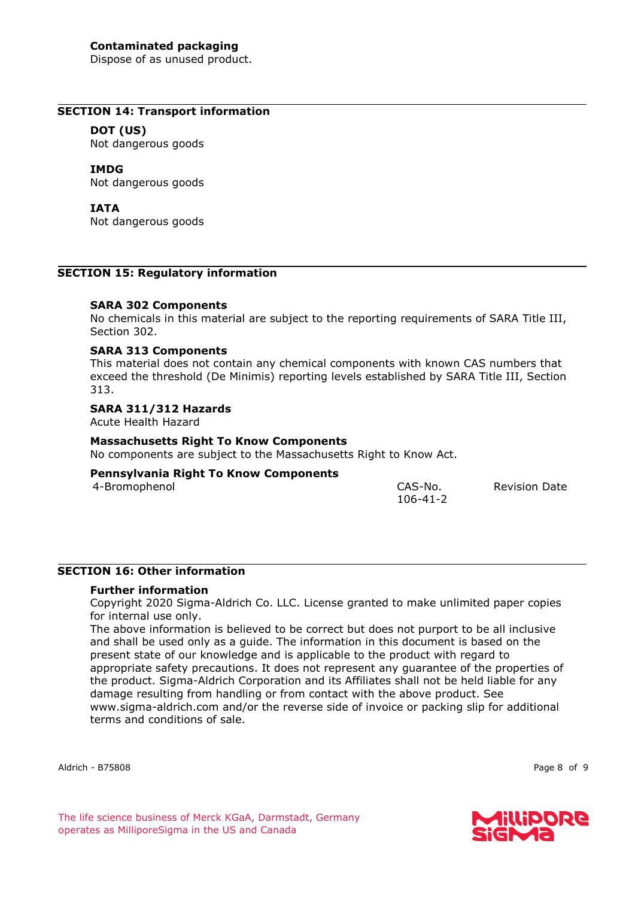Dispose of as unused product.

#### **SECTION 14: Transport information**

#### **DOT (US)**

Not dangerous goods

## **IMDG**

Not dangerous goods

#### **IATA**

Not dangerous goods

#### **SECTION 15: Regulatory information**

#### **SARA 302 Components**

No chemicals in this material are subject to the reporting requirements of SARA Title III, Section 302.

## **SARA 313 Components**

This material does not contain any chemical components with known CAS numbers that exceed the threshold (De Minimis) reporting levels established by SARA Title III, Section 313.

#### **SARA 311/312 Hazards**

Acute Health Hazard

#### **Massachusetts Right To Know Components**

No components are subject to the Massachusetts Right to Know Act.

## **Pennsylvania Right To Know Components**

4-Bromophenol CAS-No.

106-41-2

Revision Date

## **SECTION 16: Other information**

## **Further information**

Copyright 2020 Sigma-Aldrich Co. LLC. License granted to make unlimited paper copies for internal use only.

The above information is believed to be correct but does not purport to be all inclusive and shall be used only as a guide. The information in this document is based on the present state of our knowledge and is applicable to the product with regard to appropriate safety precautions. It does not represent any guarantee of the properties of the product. Sigma-Aldrich Corporation and its Affiliates shall not be held liable for any damage resulting from handling or from contact with the above product. See www.sigma-aldrich.com and/or the reverse side of invoice or packing slip for additional terms and conditions of sale.

Aldrich - B75808 Page 8 of 9